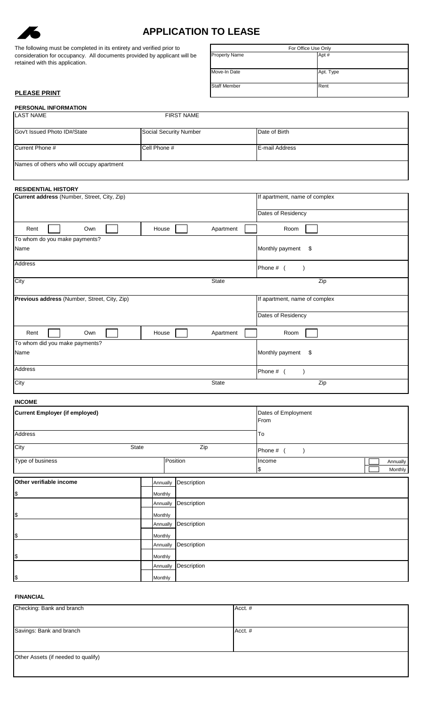

# **APPLICATION TO LEASE**

| The following must be completed in its entirety and verified prior to    | For Office Use Only  |       |
|--------------------------------------------------------------------------|----------------------|-------|
| consideration for occupancy. All documents provided by applicant will be | <b>Property Name</b> | Apt # |
| retained with this application.                                          |                      |       |

| For Office Use Only  |           |  |
|----------------------|-----------|--|
| <b>Property Name</b> | Apt#      |  |
| Move-In Date         | Apt. Type |  |
| <b>Staff Member</b>  | Rent      |  |

# **PLEASE PRINT**

| <b>PERSONAL INFORMATION</b>               |                        |                |
|-------------------------------------------|------------------------|----------------|
| <b>LAST NAME</b>                          | <b>FIRST NAME</b>      |                |
|                                           |                        |                |
| Gov't Issued Photo ID#/State              | Social Security Number | Date of Birth  |
|                                           |                        |                |
| Current Phone #                           | Cell Phone #           | E-mail Address |
|                                           |                        |                |
| Names of others who will occupy apartment |                        |                |
|                                           |                        |                |

| <b>RESIDENTIAL HISTORY</b>                   |              |                               |
|----------------------------------------------|--------------|-------------------------------|
| Current address (Number, Street, City, Zip)  |              | If apartment, name of complex |
|                                              |              | Dates of Residency            |
| House<br>Rent<br>Own                         | Apartment    | Room                          |
| To whom do you make payments?                |              |                               |
| Name                                         |              | Monthly payment<br>\$         |
| Address                                      |              | Phone # (                     |
| City                                         | <b>State</b> | Zip                           |
| Previous address (Number, Street, City, Zip) |              | If apartment, name of complex |
|                                              |              | Dates of Residency            |
| Rent<br>Own<br>House                         | Apartment    | Room                          |
| To whom did you make payments?               |              |                               |
| Name                                         |              | Monthly payment<br>\$         |
| Address                                      |              | Phone # (                     |
| City                                         | <b>State</b> | Zip                           |

| <b>INCOME</b>                         |          |             |                             |                     |
|---------------------------------------|----------|-------------|-----------------------------|---------------------|
| <b>Current Employer (if employed)</b> |          |             | Dates of Employment<br>From |                     |
| <b>Address</b>                        |          | To          |                             |                     |
| City                                  | State    | Zip         | Phone #                     |                     |
| Type of business                      |          | Position    | Income<br>1\$               | Annually<br>Monthly |
| Other verifiable income               | Annually | Description |                             |                     |
| \$                                    | Monthly  |             |                             |                     |
|                                       | Annually | Description |                             |                     |
| \$                                    | Monthly  |             |                             |                     |
|                                       | Annually | Description |                             |                     |
| \$                                    | Monthly  |             |                             |                     |
|                                       | Annually | Description |                             |                     |
| \$                                    | Monthly  |             |                             |                     |
|                                       | Annually | Description |                             |                     |
| $\, \, \$$                            | Monthly  |             |                             |                     |

# **FINANCIAL**

| Checking: Bank and branch           | Acct. # |
|-------------------------------------|---------|
|                                     |         |
| Savings: Bank and branch            | Acct. # |
|                                     |         |
| Other Assets (if needed to qualify) |         |
|                                     |         |